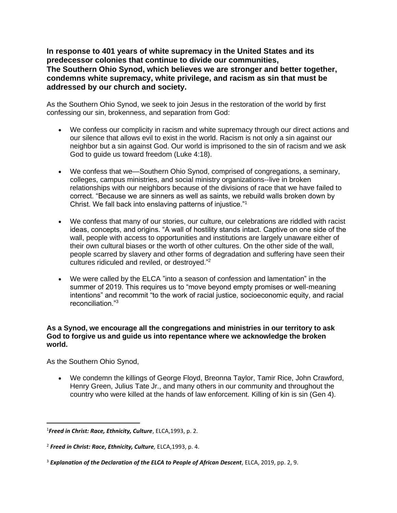**In response to 401 years of white supremacy in the United States and its predecessor colonies that continue to divide our communities, The Southern Ohio Synod, which believes we are stronger and better together, condemns white supremacy, white privilege, and racism as sin that must be addressed by our church and society.**

As the Southern Ohio Synod, we seek to join Jesus in the restoration of the world by first confessing our sin, brokenness, and separation from God:

- We confess our complicity in racism and white supremacy through our direct actions and our silence that allows evil to exist in the world. Racism is not only a sin against our neighbor but a sin against God. Our world is imprisoned to the sin of racism and we ask God to guide us toward freedom (Luke 4:18).
- We confess that we—Southern Ohio Synod, comprised of congregations, a seminary, colleges, campus ministries, and social ministry organizations--live in broken relationships with our neighbors because of the divisions of race that we have failed to correct. "Because we are sinners as well as saints, we rebuild walls broken down by Christ. We fall back into enslaving patterns of injustice."<sup>1</sup>
- We confess that many of our stories, our culture, our celebrations are riddled with racist ideas, concepts, and origins. "A wall of hostility stands intact. Captive on one side of the wall, people with access to opportunities and institutions are largely unaware either of their own cultural biases or the worth of other cultures. On the other side of the wall, people scarred by slavery and other forms of degradation and suffering have seen their cultures ridiculed and reviled, or destroyed." 2
- We were called by the ELCA "into a season of confession and lamentation" in the summer of 2019. This requires us to "move beyond empty promises or well-meaning intentions" and recommit "to the work of racial justice, socioeconomic equity, and racial reconciliation<sup>"3</sup>

## **As a Synod, we encourage all the congregations and ministries in our territory to ask God to forgive us and guide us into repentance where we acknowledge the broken world.**

As the Southern Ohio Synod,

• We condemn the killings of George Floyd, Breonna Taylor, Tamir Rice, John Crawford, Henry Green, Julius Tate Jr., and many others in our community and throughout the country who were killed at the hands of law enforcement. Killing of kin is sin (Gen 4).

<sup>1</sup> *Freed in Christ: Race, Ethnicity, Culture*, ELCA,1993, p. 2.

<sup>2</sup> *Freed in Christ: Race, Ethnicity, Culture,* ELCA,1993, p. 4.

<sup>3</sup> *Explanation of the Declaration of the ELCA to People of African Descent*, ELCA, 2019, pp. 2, 9.